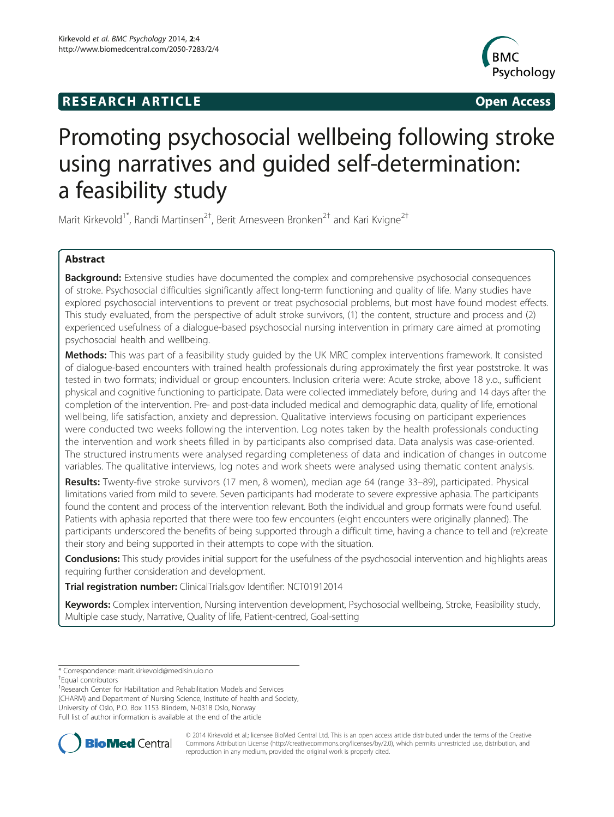# **RESEARCH ARTICLE Example 2018 12:00 Open Access**



# Promoting psychosocial wellbeing following stroke using narratives and guided self-determination: a feasibility study

Marit Kirkevold<sup>1\*</sup>, Randi Martinsen<sup>2†</sup>, Berit Arnesveen Bronken<sup>2†</sup> and Kari Kvigne<sup>2†</sup>

# Abstract

Background: Extensive studies have documented the complex and comprehensive psychosocial consequences of stroke. Psychosocial difficulties significantly affect long-term functioning and quality of life. Many studies have explored psychosocial interventions to prevent or treat psychosocial problems, but most have found modest effects. This study evaluated, from the perspective of adult stroke survivors, (1) the content, structure and process and (2) experienced usefulness of a dialogue-based psychosocial nursing intervention in primary care aimed at promoting psychosocial health and wellbeing.

Methods: This was part of a feasibility study quided by the UK MRC complex interventions framework. It consisted of dialogue-based encounters with trained health professionals during approximately the first year poststroke. It was tested in two formats; individual or group encounters. Inclusion criteria were: Acute stroke, above 18 y.o., sufficient physical and cognitive functioning to participate. Data were collected immediately before, during and 14 days after the completion of the intervention. Pre- and post-data included medical and demographic data, quality of life, emotional wellbeing, life satisfaction, anxiety and depression. Qualitative interviews focusing on participant experiences were conducted two weeks following the intervention. Log notes taken by the health professionals conducting the intervention and work sheets filled in by participants also comprised data. Data analysis was case-oriented. The structured instruments were analysed regarding completeness of data and indication of changes in outcome variables. The qualitative interviews, log notes and work sheets were analysed using thematic content analysis.

Results: Twenty-five stroke survivors (17 men, 8 women), median age 64 (range 33–89), participated. Physical limitations varied from mild to severe. Seven participants had moderate to severe expressive aphasia. The participants found the content and process of the intervention relevant. Both the individual and group formats were found useful. Patients with aphasia reported that there were too few encounters (eight encounters were originally planned). The participants underscored the benefits of being supported through a difficult time, having a chance to tell and (re)create their story and being supported in their attempts to cope with the situation.

Conclusions: This study provides initial support for the usefulness of the psychosocial intervention and highlights areas requiring further consideration and development.

Trial registration number: ClinicalTrials.gov Identifier: [NCT01912014](http://clinicaltrials.gov/ct2/results?term=NCT01912014&Search=Search)

Keywords: Complex intervention, Nursing intervention development, Psychosocial wellbeing, Stroke, Feasibility study, Multiple case study, Narrative, Quality of life, Patient-centred, Goal-setting

<sup>1</sup> Research Center for Habilitation and Rehabilitation Models and Services (CHARM) and Department of Nursing Science, Institute of health and Society, University of Oslo, P.O. Box 1153 Blindern, N-0318 Oslo, Norway Full list of author information is available at the end of the article



© 2014 Kirkevold et al.; licensee BioMed Central Ltd. This is an open access article distributed under the terms of the Creative Commons Attribution License [\(http://creativecommons.org/licenses/by/2.0\)](http://creativecommons.org/licenses/by/2.0), which permits unrestricted use, distribution, and reproduction in any medium, provided the original work is properly cited.

<sup>\*</sup> Correspondence: [marit.kirkevold@medisin.uio.no](mailto:marit.kirkevold@medisin.uio.no) †

Equal contributors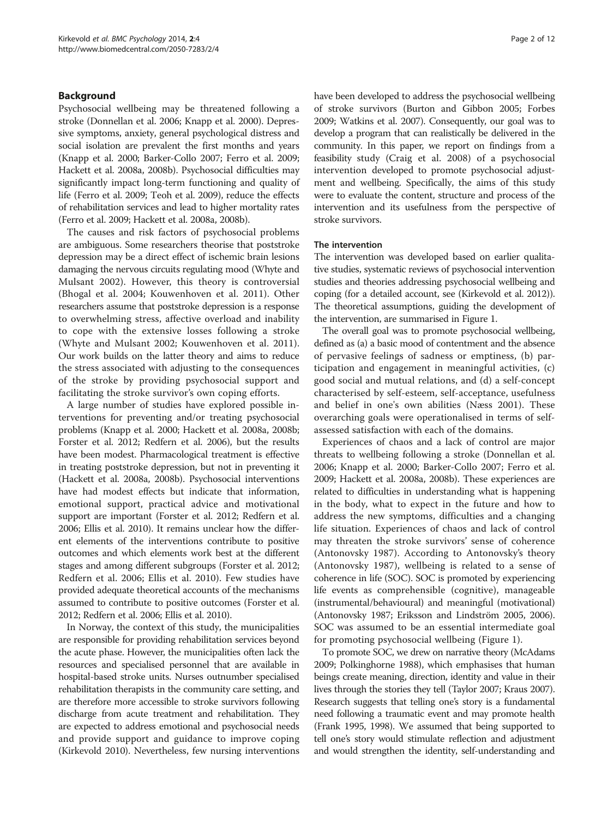# Background

Psychosocial wellbeing may be threatened following a stroke (Donnellan et al. [2006;](#page-11-0) Knapp et al. [2000\)](#page-11-0). Depressive symptoms, anxiety, general psychological distress and social isolation are prevalent the first months and years (Knapp et al. [2000](#page-11-0); Barker-Collo [2007;](#page-11-0) Ferro et al. [2009](#page-11-0); Hackett et al. [2008a, 2008b\)](#page-11-0). Psychosocial difficulties may significantly impact long-term functioning and quality of life (Ferro et al. [2009;](#page-11-0) Teoh et al. [2009](#page-11-0)), reduce the effects of rehabilitation services and lead to higher mortality rates (Ferro et al. [2009;](#page-11-0) Hackett et al. [2008a](#page-11-0), [2008b](#page-11-0)).

The causes and risk factors of psychosocial problems are ambiguous. Some researchers theorise that poststroke depression may be a direct effect of ischemic brain lesions damaging the nervous circuits regulating mood (Whyte and Mulsant [2002\)](#page-11-0). However, this theory is controversial (Bhogal et al. [2004](#page-11-0); Kouwenhoven et al. [2011\)](#page-11-0). Other researchers assume that poststroke depression is a response to overwhelming stress, affective overload and inability to cope with the extensive losses following a stroke (Whyte and Mulsant [2002;](#page-11-0) Kouwenhoven et al. [2011](#page-11-0)). Our work builds on the latter theory and aims to reduce the stress associated with adjusting to the consequences of the stroke by providing psychosocial support and facilitating the stroke survivor's own coping efforts.

A large number of studies have explored possible interventions for preventing and/or treating psychosocial problems (Knapp et al. [2000](#page-11-0); Hackett et al. [2008a, 2008b](#page-11-0); Forster et al. [2012;](#page-11-0) Redfern et al. [2006](#page-11-0)), but the results have been modest. Pharmacological treatment is effective in treating poststroke depression, but not in preventing it (Hackett et al. [2008a](#page-11-0), [2008b](#page-11-0)). Psychosocial interventions have had modest effects but indicate that information, emotional support, practical advice and motivational support are important (Forster et al. [2012](#page-11-0); Redfern et al. [2006;](#page-11-0) Ellis et al. [2010\)](#page-11-0). It remains unclear how the different elements of the interventions contribute to positive outcomes and which elements work best at the different stages and among different subgroups (Forster et al. [2012](#page-11-0); Redfern et al. [2006;](#page-11-0) Ellis et al. [2010](#page-11-0)). Few studies have provided adequate theoretical accounts of the mechanisms assumed to contribute to positive outcomes (Forster et al. [2012;](#page-11-0) Redfern et al. [2006](#page-11-0); Ellis et al. [2010\)](#page-11-0).

In Norway, the context of this study, the municipalities are responsible for providing rehabilitation services beyond the acute phase. However, the municipalities often lack the resources and specialised personnel that are available in hospital-based stroke units. Nurses outnumber specialised rehabilitation therapists in the community care setting, and are therefore more accessible to stroke survivors following discharge from acute treatment and rehabilitation. They are expected to address emotional and psychosocial needs and provide support and guidance to improve coping (Kirkevold [2010](#page-11-0)). Nevertheless, few nursing interventions have been developed to address the psychosocial wellbeing of stroke survivors (Burton and Gibbon [2005;](#page-11-0) Forbes [2009](#page-11-0); Watkins et al. [2007\)](#page-11-0). Consequently, our goal was to develop a program that can realistically be delivered in the community. In this paper, we report on findings from a feasibility study (Craig et al. [2008\)](#page-11-0) of a psychosocial intervention developed to promote psychosocial adjustment and wellbeing. Specifically, the aims of this study were to evaluate the content, structure and process of the intervention and its usefulness from the perspective of stroke survivors.

## The intervention

The intervention was developed based on earlier qualitative studies, systematic reviews of psychosocial intervention studies and theories addressing psychosocial wellbeing and coping (for a detailed account, see (Kirkevold et al. [2012](#page-11-0))). The theoretical assumptions, guiding the development of the intervention, are summarised in Figure [1.](#page-2-0)

The overall goal was to promote psychosocial wellbeing, defined as (a) a basic mood of contentment and the absence of pervasive feelings of sadness or emptiness, (b) participation and engagement in meaningful activities, (c) good social and mutual relations, and (d) a self-concept characterised by self-esteem, self-acceptance, usefulness and belief in one's own abilities (Næss [2001](#page-11-0)). These overarching goals were operationalised in terms of selfassessed satisfaction with each of the domains.

Experiences of chaos and a lack of control are major threats to wellbeing following a stroke (Donnellan et al. [2006](#page-11-0); Knapp et al. [2000;](#page-11-0) Barker-Collo [2007](#page-11-0); Ferro et al. [2009](#page-11-0); Hackett et al. [2008a, 2008b\)](#page-11-0). These experiences are related to difficulties in understanding what is happening in the body, what to expect in the future and how to address the new symptoms, difficulties and a changing life situation. Experiences of chaos and lack of control may threaten the stroke survivors' sense of coherence (Antonovsky [1987](#page-11-0)). According to Antonovsky's theory (Antonovsky [1987](#page-11-0)), wellbeing is related to a sense of coherence in life (SOC). SOC is promoted by experiencing life events as comprehensible (cognitive), manageable (instrumental/behavioural) and meaningful (motivational) (Antonovsky [1987](#page-11-0); Eriksson and Lindström [2005, 2006](#page-11-0)). SOC was assumed to be an essential intermediate goal for promoting psychosocial wellbeing (Figure [1\)](#page-2-0).

To promote SOC, we drew on narrative theory (McAdams [2009](#page-11-0); Polkinghorne [1988](#page-11-0)), which emphasises that human beings create meaning, direction, identity and value in their lives through the stories they tell (Taylor [2007](#page-11-0); Kraus [2007](#page-11-0)). Research suggests that telling one's story is a fundamental need following a traumatic event and may promote health (Frank [1995](#page-11-0), [1998](#page-11-0)). We assumed that being supported to tell one's story would stimulate reflection and adjustment and would strengthen the identity, self-understanding and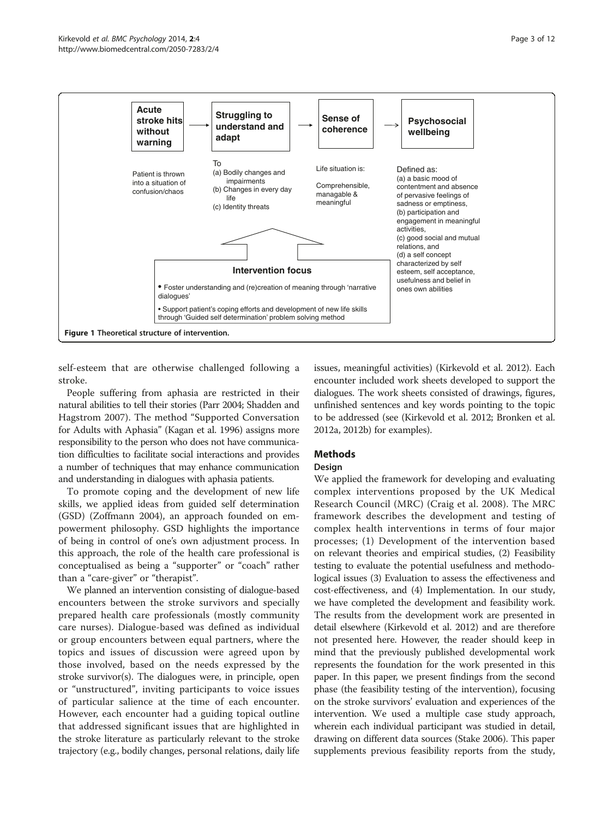

<span id="page-2-0"></span>

self-esteem that are otherwise challenged following a stroke.

People suffering from aphasia are restricted in their natural abilities to tell their stories (Parr [2004;](#page-11-0) Shadden and Hagstrom [2007](#page-11-0)). The method "Supported Conversation for Adults with Aphasia" (Kagan et al. [1996](#page-11-0)) assigns more responsibility to the person who does not have communication difficulties to facilitate social interactions and provides a number of techniques that may enhance communication and understanding in dialogues with aphasia patients.

To promote coping and the development of new life skills, we applied ideas from guided self determination (GSD) (Zoffmann [2004\)](#page-11-0), an approach founded on empowerment philosophy. GSD highlights the importance of being in control of one's own adjustment process. In this approach, the role of the health care professional is conceptualised as being a "supporter" or "coach" rather than a "care-giver" or "therapist".

We planned an intervention consisting of dialogue-based encounters between the stroke survivors and specially prepared health care professionals (mostly community care nurses). Dialogue-based was defined as individual or group encounters between equal partners, where the topics and issues of discussion were agreed upon by those involved, based on the needs expressed by the stroke survivor(s). The dialogues were, in principle, open or "unstructured", inviting participants to voice issues of particular salience at the time of each encounter. However, each encounter had a guiding topical outline that addressed significant issues that are highlighted in the stroke literature as particularly relevant to the stroke trajectory (e.g., bodily changes, personal relations, daily life issues, meaningful activities) (Kirkevold et al. [2012\)](#page-11-0). Each encounter included work sheets developed to support the dialogues. The work sheets consisted of drawings, figures, unfinished sentences and key words pointing to the topic to be addressed (see (Kirkevold et al. [2012](#page-11-0); Bronken et al. [2012a](#page-11-0), [2012b](#page-11-0)) for examples).

# Methods

#### **Design**

We applied the framework for developing and evaluating complex interventions proposed by the UK Medical Research Council (MRC) (Craig et al. [2008\)](#page-11-0). The MRC framework describes the development and testing of complex health interventions in terms of four major processes; (1) Development of the intervention based on relevant theories and empirical studies, (2) Feasibility testing to evaluate the potential usefulness and methodological issues (3) Evaluation to assess the effectiveness and cost-effectiveness, and (4) Implementation. In our study, we have completed the development and feasibility work. The results from the development work are presented in detail elsewhere (Kirkevold et al. [2012](#page-11-0)) and are therefore not presented here. However, the reader should keep in mind that the previously published developmental work represents the foundation for the work presented in this paper. In this paper, we present findings from the second phase (the feasibility testing of the intervention), focusing on the stroke survivors' evaluation and experiences of the intervention. We used a multiple case study approach, wherein each individual participant was studied in detail, drawing on different data sources (Stake [2006\)](#page-11-0). This paper supplements previous feasibility reports from the study,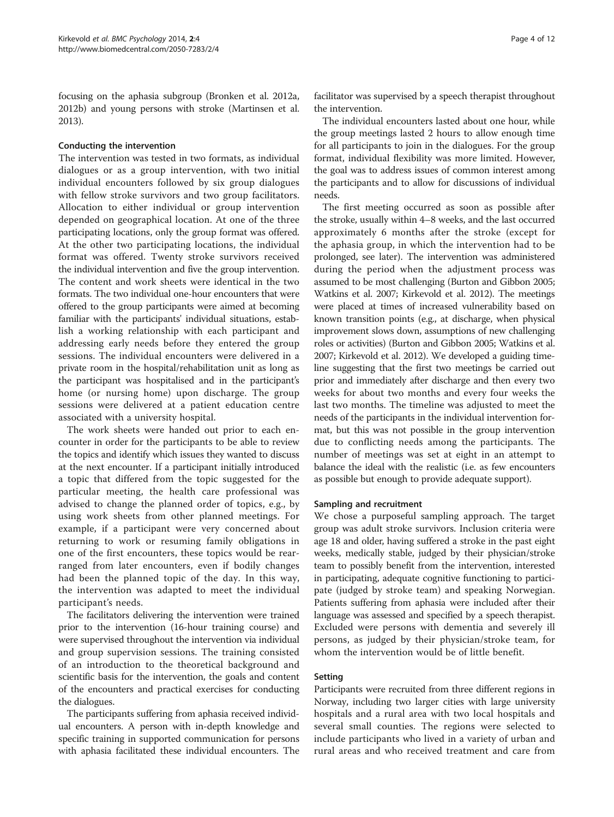focusing on the aphasia subgroup (Bronken et al. [2012a](#page-11-0), [2012b\)](#page-11-0) and young persons with stroke (Martinsen et al. [2013\)](#page-11-0).

## Conducting the intervention

The intervention was tested in two formats, as individual dialogues or as a group intervention, with two initial individual encounters followed by six group dialogues with fellow stroke survivors and two group facilitators. Allocation to either individual or group intervention depended on geographical location. At one of the three participating locations, only the group format was offered. At the other two participating locations, the individual format was offered. Twenty stroke survivors received the individual intervention and five the group intervention. The content and work sheets were identical in the two formats. The two individual one-hour encounters that were offered to the group participants were aimed at becoming familiar with the participants' individual situations, establish a working relationship with each participant and addressing early needs before they entered the group sessions. The individual encounters were delivered in a private room in the hospital/rehabilitation unit as long as the participant was hospitalised and in the participant's home (or nursing home) upon discharge. The group sessions were delivered at a patient education centre associated with a university hospital.

The work sheets were handed out prior to each encounter in order for the participants to be able to review the topics and identify which issues they wanted to discuss at the next encounter. If a participant initially introduced a topic that differed from the topic suggested for the particular meeting, the health care professional was advised to change the planned order of topics, e.g., by using work sheets from other planned meetings. For example, if a participant were very concerned about returning to work or resuming family obligations in one of the first encounters, these topics would be rearranged from later encounters, even if bodily changes had been the planned topic of the day. In this way, the intervention was adapted to meet the individual participant's needs.

The facilitators delivering the intervention were trained prior to the intervention (16-hour training course) and were supervised throughout the intervention via individual and group supervision sessions. The training consisted of an introduction to the theoretical background and scientific basis for the intervention, the goals and content of the encounters and practical exercises for conducting the dialogues.

The participants suffering from aphasia received individual encounters. A person with in-depth knowledge and specific training in supported communication for persons with aphasia facilitated these individual encounters. The facilitator was supervised by a speech therapist throughout the intervention.

The individual encounters lasted about one hour, while the group meetings lasted 2 hours to allow enough time for all participants to join in the dialogues. For the group format, individual flexibility was more limited. However, the goal was to address issues of common interest among the participants and to allow for discussions of individual needs.

The first meeting occurred as soon as possible after the stroke, usually within 4–8 weeks, and the last occurred approximately 6 months after the stroke (except for the aphasia group, in which the intervention had to be prolonged, see later). The intervention was administered during the period when the adjustment process was assumed to be most challenging (Burton and Gibbon [2005](#page-11-0); Watkins et al. [2007](#page-11-0); Kirkevold et al. [2012\)](#page-11-0). The meetings were placed at times of increased vulnerability based on known transition points (e.g., at discharge, when physical improvement slows down, assumptions of new challenging roles or activities) (Burton and Gibbon [2005](#page-11-0); Watkins et al. [2007;](#page-11-0) Kirkevold et al. [2012](#page-11-0)). We developed a guiding timeline suggesting that the first two meetings be carried out prior and immediately after discharge and then every two weeks for about two months and every four weeks the last two months. The timeline was adjusted to meet the needs of the participants in the individual intervention format, but this was not possible in the group intervention due to conflicting needs among the participants. The number of meetings was set at eight in an attempt to balance the ideal with the realistic (i.e. as few encounters as possible but enough to provide adequate support).

#### Sampling and recruitment

We chose a purposeful sampling approach. The target group was adult stroke survivors. Inclusion criteria were age 18 and older, having suffered a stroke in the past eight weeks, medically stable, judged by their physician/stroke team to possibly benefit from the intervention, interested in participating, adequate cognitive functioning to participate (judged by stroke team) and speaking Norwegian. Patients suffering from aphasia were included after their language was assessed and specified by a speech therapist. Excluded were persons with dementia and severely ill persons, as judged by their physician/stroke team, for whom the intervention would be of little benefit.

#### Setting

Participants were recruited from three different regions in Norway, including two larger cities with large university hospitals and a rural area with two local hospitals and several small counties. The regions were selected to include participants who lived in a variety of urban and rural areas and who received treatment and care from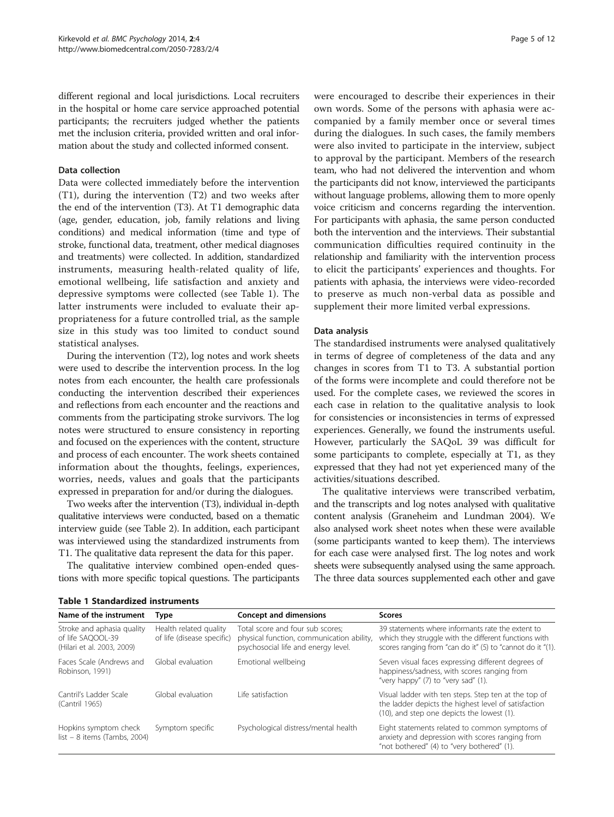different regional and local jurisdictions. Local recruiters in the hospital or home care service approached potential participants; the recruiters judged whether the patients met the inclusion criteria, provided written and oral information about the study and collected informed consent.

#### Data collection

Data were collected immediately before the intervention (T1), during the intervention (T2) and two weeks after the end of the intervention (T3). At T1 demographic data (age, gender, education, job, family relations and living conditions) and medical information (time and type of stroke, functional data, treatment, other medical diagnoses and treatments) were collected. In addition, standardized instruments, measuring health-related quality of life, emotional wellbeing, life satisfaction and anxiety and depressive symptoms were collected (see Table 1). The latter instruments were included to evaluate their appropriateness for a future controlled trial, as the sample size in this study was too limited to conduct sound statistical analyses.

During the intervention (T2), log notes and work sheets were used to describe the intervention process. In the log notes from each encounter, the health care professionals conducting the intervention described their experiences and reflections from each encounter and the reactions and comments from the participating stroke survivors. The log notes were structured to ensure consistency in reporting and focused on the experiences with the content, structure and process of each encounter. The work sheets contained information about the thoughts, feelings, experiences, worries, needs, values and goals that the participants expressed in preparation for and/or during the dialogues.

Two weeks after the intervention (T3), individual in-depth qualitative interviews were conducted, based on a thematic interview guide (see Table [2\)](#page-5-0). In addition, each participant was interviewed using the standardized instruments from T1. The qualitative data represent the data for this paper.

The qualitative interview combined open-ended questions with more specific topical questions. The participants

were encouraged to describe their experiences in their own words. Some of the persons with aphasia were accompanied by a family member once or several times during the dialogues. In such cases, the family members were also invited to participate in the interview, subject to approval by the participant. Members of the research team, who had not delivered the intervention and whom the participants did not know, interviewed the participants without language problems, allowing them to more openly voice criticism and concerns regarding the intervention. For participants with aphasia, the same person conducted both the intervention and the interviews. Their substantial communication difficulties required continuity in the relationship and familiarity with the intervention process to elicit the participants' experiences and thoughts. For patients with aphasia, the interviews were video-recorded to preserve as much non-verbal data as possible and supplement their more limited verbal expressions.

#### Data analysis

The standardised instruments were analysed qualitatively in terms of degree of completeness of the data and any changes in scores from T1 to T3. A substantial portion of the forms were incomplete and could therefore not be used. For the complete cases, we reviewed the scores in each case in relation to the qualitative analysis to look for consistencies or inconsistencies in terms of expressed experiences. Generally, we found the instruments useful. However, particularly the SAQoL 39 was difficult for some participants to complete, especially at T1, as they expressed that they had not yet experienced many of the activities/situations described.

The qualitative interviews were transcribed verbatim, and the transcripts and log notes analysed with qualitative content analysis (Graneheim and Lundman [2004\)](#page-11-0). We also analysed work sheet notes when these were available (some participants wanted to keep them). The interviews for each case were analysed first. The log notes and work sheets were subsequently analysed using the same approach. The three data sources supplemented each other and gave

| Name of the instrument                                                        | Type                                                 | <b>Concept and dimensions</b>                                                                                        | <b>Scores</b>                                                                                                                                                            |
|-------------------------------------------------------------------------------|------------------------------------------------------|----------------------------------------------------------------------------------------------------------------------|--------------------------------------------------------------------------------------------------------------------------------------------------------------------------|
| Stroke and aphasia quality<br>of life SAOOOL-39<br>(Hilari et al. 2003, 2009) | Health related quality<br>of life (disease specific) | Total score and four sub scores:<br>physical function, communication ability,<br>psychosocial life and energy level. | 39 statements where informants rate the extent to<br>which they struggle with the different functions with<br>scores ranging from "can do it" (5) to "cannot do it "(1). |
| Faces Scale (Andrews and<br>Robinson, 1991)                                   | Global evaluation                                    | Emotional wellbeing                                                                                                  | Seven visual faces expressing different degrees of<br>happiness/sadness, with scores ranging from<br>"very happy" (7) to "very sad" (1).                                 |
| Cantril's Ladder Scale<br>(Cantril 1965)                                      | Global evaluation                                    | Life satisfaction                                                                                                    | Visual ladder with ten steps. Step ten at the top of<br>the ladder depicts the highest level of satisfaction<br>(10), and step one depicts the lowest (1).               |
| Hopkins symptom check<br>$list - 8$ items (Tambs, 2004)                       | Symptom specific                                     | Psychological distress/mental health                                                                                 | Eight statements related to common symptoms of<br>anxiety and depression with scores ranging from<br>"not bothered" (4) to "very bothered" (1).                          |

| <b>Table 1 Standardized instruments</b> |  |
|-----------------------------------------|--|
|-----------------------------------------|--|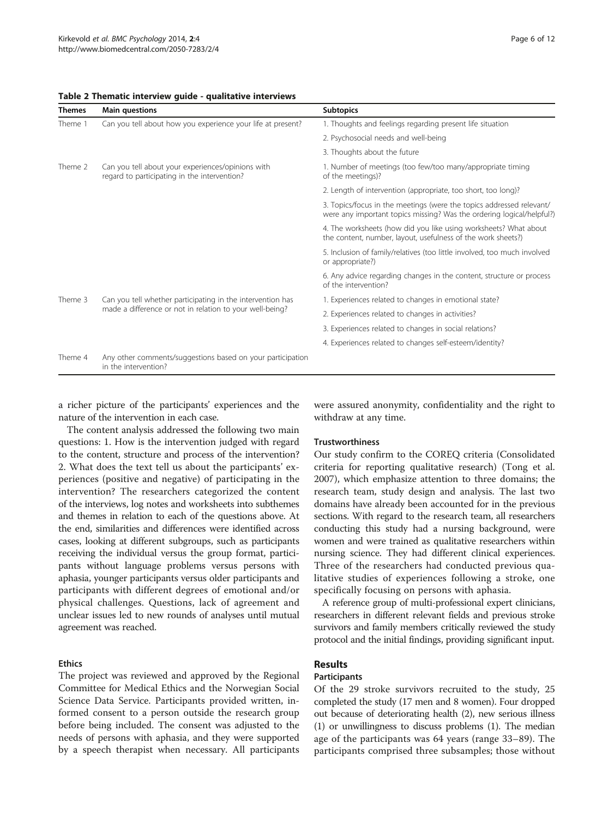| <b>Themes</b> | <b>Main questions</b>                                                                                                  | <b>Subtopics</b>                                                                                                                              |
|---------------|------------------------------------------------------------------------------------------------------------------------|-----------------------------------------------------------------------------------------------------------------------------------------------|
| Theme 1       | Can you tell about how you experience your life at present?                                                            | 1. Thoughts and feelings regarding present life situation                                                                                     |
|               |                                                                                                                        | 2. Psychosocial needs and well-being                                                                                                          |
|               |                                                                                                                        | 3. Thoughts about the future                                                                                                                  |
| Theme 2       | Can you tell about your experiences/opinions with<br>regard to participating in the intervention?                      | 1. Number of meetings (too few/too many/appropriate timing<br>of the meetings)?                                                               |
|               |                                                                                                                        | 2. Length of intervention (appropriate, too short, too long)?                                                                                 |
|               |                                                                                                                        | 3. Topics/focus in the meetings (were the topics addressed relevant/<br>were any important topics missing? Was the ordering logical/helpful?) |
|               |                                                                                                                        | 4. The worksheets (how did you like using worksheets? What about<br>the content, number, layout, usefulness of the work sheets?)              |
|               |                                                                                                                        | 5. Inclusion of family/relatives (too little involved, too much involved<br>or appropriate?)                                                  |
|               |                                                                                                                        | 6. Any advice regarding changes in the content, structure or process<br>of the intervention?                                                  |
| Theme 3       | Can you tell whether participating in the intervention has<br>made a difference or not in relation to your well-being? | 1. Experiences related to changes in emotional state?                                                                                         |
|               |                                                                                                                        | 2. Experiences related to changes in activities?                                                                                              |
|               |                                                                                                                        | 3. Experiences related to changes in social relations?                                                                                        |
|               |                                                                                                                        | 4. Experiences related to changes self-esteem/identity?                                                                                       |
| Theme 4       | Any other comments/suggestions based on your participation<br>in the intervention?                                     |                                                                                                                                               |

<span id="page-5-0"></span>Table 2 Thematic interview guide - qualitative interviews

a richer picture of the participants' experiences and the nature of the intervention in each case.

The content analysis addressed the following two main questions: 1. How is the intervention judged with regard to the content, structure and process of the intervention? 2. What does the text tell us about the participants' experiences (positive and negative) of participating in the intervention? The researchers categorized the content of the interviews, log notes and worksheets into subthemes and themes in relation to each of the questions above. At the end, similarities and differences were identified across cases, looking at different subgroups, such as participants receiving the individual versus the group format, participants without language problems versus persons with aphasia, younger participants versus older participants and participants with different degrees of emotional and/or physical challenges. Questions, lack of agreement and unclear issues led to new rounds of analyses until mutual agreement was reached.

#### Ethics

The project was reviewed and approved by the Regional Committee for Medical Ethics and the Norwegian Social Science Data Service. Participants provided written, informed consent to a person outside the research group before being included. The consent was adjusted to the needs of persons with aphasia, and they were supported by a speech therapist when necessary. All participants

were assured anonymity, confidentiality and the right to withdraw at any time.

#### **Trustworthiness**

Our study confirm to the COREQ criteria (Consolidated criteria for reporting qualitative research) (Tong et al. [2007](#page-11-0)), which emphasize attention to three domains; the research team, study design and analysis. The last two domains have already been accounted for in the previous sections. With regard to the research team, all researchers conducting this study had a nursing background, were women and were trained as qualitative researchers within nursing science. They had different clinical experiences. Three of the researchers had conducted previous qualitative studies of experiences following a stroke, one specifically focusing on persons with aphasia.

A reference group of multi-professional expert clinicians, researchers in different relevant fields and previous stroke survivors and family members critically reviewed the study protocol and the initial findings, providing significant input.

# Results

#### Participants

Of the 29 stroke survivors recruited to the study, 25 completed the study (17 men and 8 women). Four dropped out because of deteriorating health (2), new serious illness (1) or unwillingness to discuss problems (1). The median age of the participants was 64 years (range 33–89). The participants comprised three subsamples; those without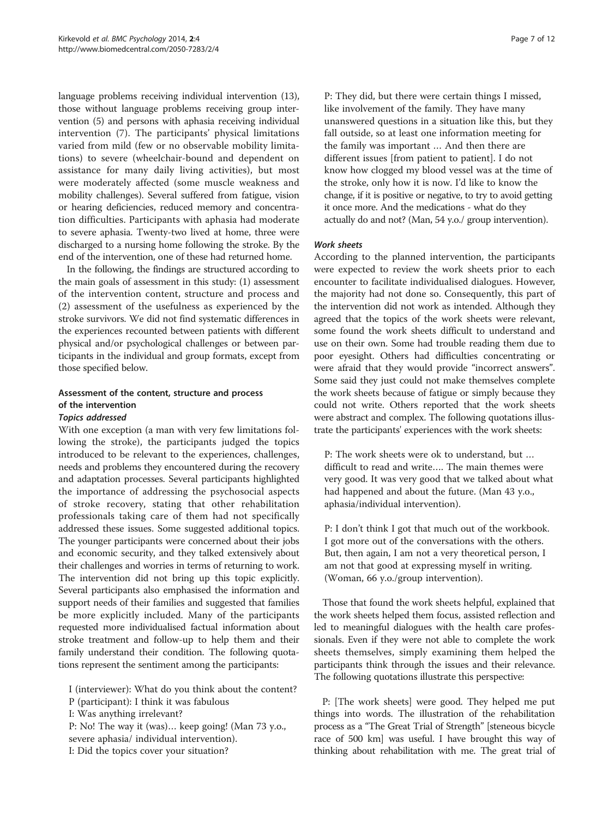language problems receiving individual intervention (13), those without language problems receiving group intervention (5) and persons with aphasia receiving individual intervention (7). The participants' physical limitations varied from mild (few or no observable mobility limitations) to severe (wheelchair-bound and dependent on assistance for many daily living activities), but most were moderately affected (some muscle weakness and mobility challenges). Several suffered from fatigue, vision or hearing deficiencies, reduced memory and concentration difficulties. Participants with aphasia had moderate to severe aphasia. Twenty-two lived at home, three were discharged to a nursing home following the stroke. By the end of the intervention, one of these had returned home.

In the following, the findings are structured according to the main goals of assessment in this study: (1) assessment of the intervention content, structure and process and (2) assessment of the usefulness as experienced by the stroke survivors. We did not find systematic differences in the experiences recounted between patients with different physical and/or psychological challenges or between participants in the individual and group formats, except from those specified below.

# Assessment of the content, structure and process of the intervention

# Topics addressed

With one exception (a man with very few limitations following the stroke), the participants judged the topics introduced to be relevant to the experiences, challenges, needs and problems they encountered during the recovery and adaptation processes. Several participants highlighted the importance of addressing the psychosocial aspects of stroke recovery, stating that other rehabilitation professionals taking care of them had not specifically addressed these issues. Some suggested additional topics. The younger participants were concerned about their jobs and economic security, and they talked extensively about their challenges and worries in terms of returning to work. The intervention did not bring up this topic explicitly. Several participants also emphasised the information and support needs of their families and suggested that families be more explicitly included. Many of the participants requested more individualised factual information about stroke treatment and follow-up to help them and their family understand their condition. The following quotations represent the sentiment among the participants:

I (interviewer): What do you think about the content?

P (participant): I think it was fabulous

I: Was anything irrelevant?

P: No! The way it (was)… keep going! (Man 73 y.o., severe aphasia/ individual intervention).

I: Did the topics cover your situation?

P: They did, but there were certain things I missed, like involvement of the family. They have many unanswered questions in a situation like this, but they fall outside, so at least one information meeting for the family was important … And then there are different issues [from patient to patient]. I do not know how clogged my blood vessel was at the time of the stroke, only how it is now. I'd like to know the change, if it is positive or negative, to try to avoid getting it once more. And the medications - what do they actually do and not? (Man, 54 y.o./ group intervention).

# Work sheets

According to the planned intervention, the participants were expected to review the work sheets prior to each encounter to facilitate individualised dialogues. However, the majority had not done so. Consequently, this part of the intervention did not work as intended. Although they agreed that the topics of the work sheets were relevant, some found the work sheets difficult to understand and use on their own. Some had trouble reading them due to poor eyesight. Others had difficulties concentrating or were afraid that they would provide "incorrect answers". Some said they just could not make themselves complete the work sheets because of fatigue or simply because they could not write. Others reported that the work sheets were abstract and complex. The following quotations illustrate the participants' experiences with the work sheets:

P: The work sheets were ok to understand, but … difficult to read and write…. The main themes were very good. It was very good that we talked about what had happened and about the future. (Man 43 y.o., aphasia/individual intervention).

P: I don't think I got that much out of the workbook. I got more out of the conversations with the others. But, then again, I am not a very theoretical person, I am not that good at expressing myself in writing. (Woman, 66 y.o./group intervention).

Those that found the work sheets helpful, explained that the work sheets helped them focus, assisted reflection and led to meaningful dialogues with the health care professionals. Even if they were not able to complete the work sheets themselves, simply examining them helped the participants think through the issues and their relevance. The following quotations illustrate this perspective:

P: [The work sheets] were good. They helped me put things into words. The illustration of the rehabilitation process as a "The Great Trial of Strength" [steneous bicycle race of 500 km] was useful. I have brought this way of thinking about rehabilitation with me. The great trial of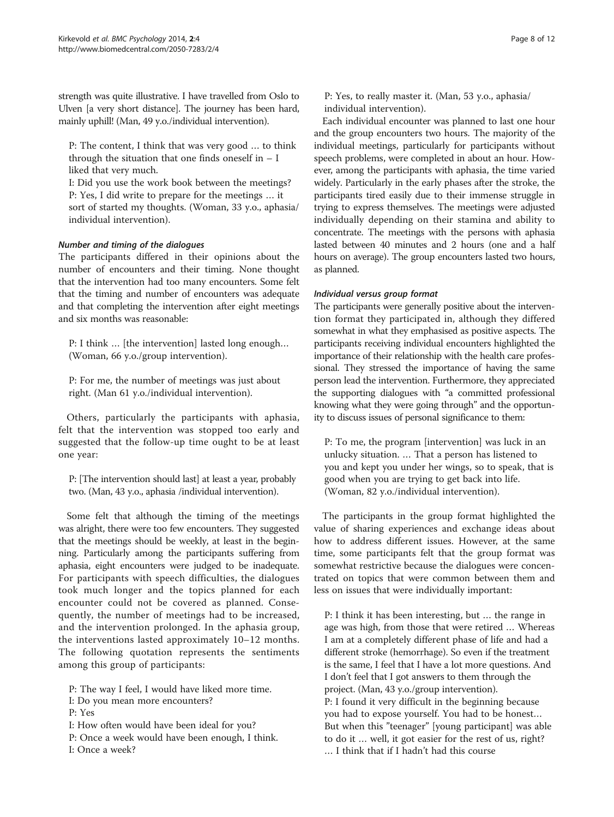strength was quite illustrative. I have travelled from Oslo to Ulven [a very short distance]. The journey has been hard, mainly uphill! (Man, 49 y.o./individual intervention).

P: The content, I think that was very good … to think through the situation that one finds oneself in  $- I$ liked that very much.

I: Did you use the work book between the meetings? P: Yes, I did write to prepare for the meetings … it sort of started my thoughts. (Woman, 33 y.o., aphasia/ individual intervention).

## Number and timing of the dialogues

The participants differed in their opinions about the number of encounters and their timing. None thought that the intervention had too many encounters. Some felt that the timing and number of encounters was adequate and that completing the intervention after eight meetings and six months was reasonable:

P: I think … [the intervention] lasted long enough… (Woman, 66 y.o./group intervention).

P: For me, the number of meetings was just about right. (Man 61 y.o./individual intervention).

Others, particularly the participants with aphasia, felt that the intervention was stopped too early and suggested that the follow-up time ought to be at least one year:

P: [The intervention should last] at least a year, probably two. (Man, 43 y.o., aphasia /individual intervention).

Some felt that although the timing of the meetings was alright, there were too few encounters. They suggested that the meetings should be weekly, at least in the beginning. Particularly among the participants suffering from aphasia, eight encounters were judged to be inadequate. For participants with speech difficulties, the dialogues took much longer and the topics planned for each encounter could not be covered as planned. Consequently, the number of meetings had to be increased, and the intervention prolonged. In the aphasia group, the interventions lasted approximately 10–12 months. The following quotation represents the sentiments among this group of participants:

- P: The way I feel, I would have liked more time.
- I: Do you mean more encounters?

P: Once a week would have been enough, I think.

P: Yes, to really master it. (Man, 53 y.o., aphasia/ individual intervention).

Each individual encounter was planned to last one hour and the group encounters two hours. The majority of the individual meetings, particularly for participants without speech problems, were completed in about an hour. However, among the participants with aphasia, the time varied widely. Particularly in the early phases after the stroke, the participants tired easily due to their immense struggle in trying to express themselves. The meetings were adjusted individually depending on their stamina and ability to concentrate. The meetings with the persons with aphasia lasted between 40 minutes and 2 hours (one and a half hours on average). The group encounters lasted two hours, as planned.

#### Individual versus group format

The participants were generally positive about the intervention format they participated in, although they differed somewhat in what they emphasised as positive aspects. The participants receiving individual encounters highlighted the importance of their relationship with the health care professional. They stressed the importance of having the same person lead the intervention. Furthermore, they appreciated the supporting dialogues with "a committed professional knowing what they were going through" and the opportunity to discuss issues of personal significance to them:

P: To me, the program [intervention] was luck in an unlucky situation. … That a person has listened to you and kept you under her wings, so to speak, that is good when you are trying to get back into life. (Woman, 82 y.o./individual intervention).

The participants in the group format highlighted the value of sharing experiences and exchange ideas about how to address different issues. However, at the same time, some participants felt that the group format was somewhat restrictive because the dialogues were concentrated on topics that were common between them and less on issues that were individually important:

P: I think it has been interesting, but … the range in age was high, from those that were retired … Whereas I am at a completely different phase of life and had a different stroke (hemorrhage). So even if the treatment is the same, I feel that I have a lot more questions. And I don't feel that I got answers to them through the project. (Man, 43 y.o./group intervention). P: I found it very difficult in the beginning because you had to expose yourself. You had to be honest… But when this "teenager" [young participant] was able to do it … well, it got easier for the rest of us, right? … I think that if I hadn't had this course

P: Yes

I: How often would have been ideal for you?

I: Once a week?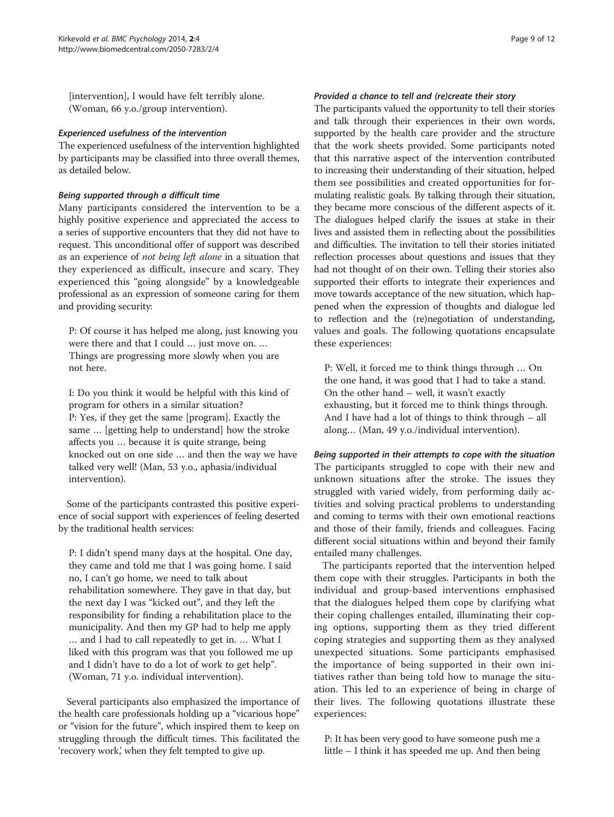[intervention], I would have felt terribly alone. (Woman, 66 y.o./group intervention).

#### Experienced usefulness of the intervention

The experienced usefulness of the intervention highlighted by participants may be classified into three overall themes, as detailed below.

## Being supported through a difficult time

Many participants considered the intervention to be a highly positive experience and appreciated the access to a series of supportive encounters that they did not have to request. This unconditional offer of support was described as an experience of not being left alone in a situation that they experienced as difficult, insecure and scary. They experienced this "going alongside" by a knowledgeable professional as an expression of someone caring for them and providing security:

P: Of course it has helped me along, just knowing you were there and that I could … just move on. … Things are progressing more slowly when you are not here.

I: Do you think it would be helpful with this kind of program for others in a similar situation? P: Yes, if they get the same [program]. Exactly the same … [getting help to understand] how the stroke affects you … because it is quite strange, being knocked out on one side … and then the way we have talked very well! (Man, 53 y.o., aphasia/individual intervention).

Some of the participants contrasted this positive experience of social support with experiences of feeling deserted by the traditional health services:

P: I didn't spend many days at the hospital. One day, they came and told me that I was going home. I said no, I can't go home, we need to talk about rehabilitation somewhere. They gave in that day, but the next day I was "kicked out", and they left the responsibility for finding a rehabilitation place to the municipality. And then my GP had to help me apply … and I had to call repeatedly to get in. … What I liked with this program was that you followed me up and I didn't have to do a lot of work to get help". (Woman, 71 y.o. individual intervention).

Several participants also emphasized the importance of the health care professionals holding up a "vicarious hope" or "vision for the future", which inspired them to keep on struggling through the difficult times. This facilitated the 'recovery work,' when they felt tempted to give up.

#### Provided a chance to tell and (re)create their story

The participants valued the opportunity to tell their stories and talk through their experiences in their own words, supported by the health care provider and the structure that the work sheets provided. Some participants noted that this narrative aspect of the intervention contributed to increasing their understanding of their situation, helped them see possibilities and created opportunities for formulating realistic goals. By talking through their situation, they became more conscious of the different aspects of it. The dialogues helped clarify the issues at stake in their lives and assisted them in reflecting about the possibilities and difficulties. The invitation to tell their stories initiated reflection processes about questions and issues that they had not thought of on their own. Telling their stories also supported their efforts to integrate their experiences and move towards acceptance of the new situation, which happened when the expression of thoughts and dialogue led to reflection and the (re)negotiation of understanding, values and goals. The following quotations encapsulate these experiences:

P: Well, it forced me to think things through … On the one hand, it was good that I had to take a stand. On the other hand – well, it wasn't exactly exhausting, but it forced me to think things through. And I have had a lot of things to think through – all along… (Man, 49 y.o./individual intervention).

Being supported in their attempts to cope with the situation The participants struggled to cope with their new and unknown situations after the stroke. The issues they struggled with varied widely, from performing daily activities and solving practical problems to understanding and coming to terms with their own emotional reactions and those of their family, friends and colleagues. Facing different social situations within and beyond their family entailed many challenges.

The participants reported that the intervention helped them cope with their struggles. Participants in both the individual and group-based interventions emphasised that the dialogues helped them cope by clarifying what their coping challenges entailed, illuminating their coping options, supporting them as they tried different coping strategies and supporting them as they analysed unexpected situations. Some participants emphasised the importance of being supported in their own initiatives rather than being told how to manage the situation. This led to an experience of being in charge of their lives. The following quotations illustrate these experiences:

P: It has been very good to have someone push me a little – I think it has speeded me up. And then being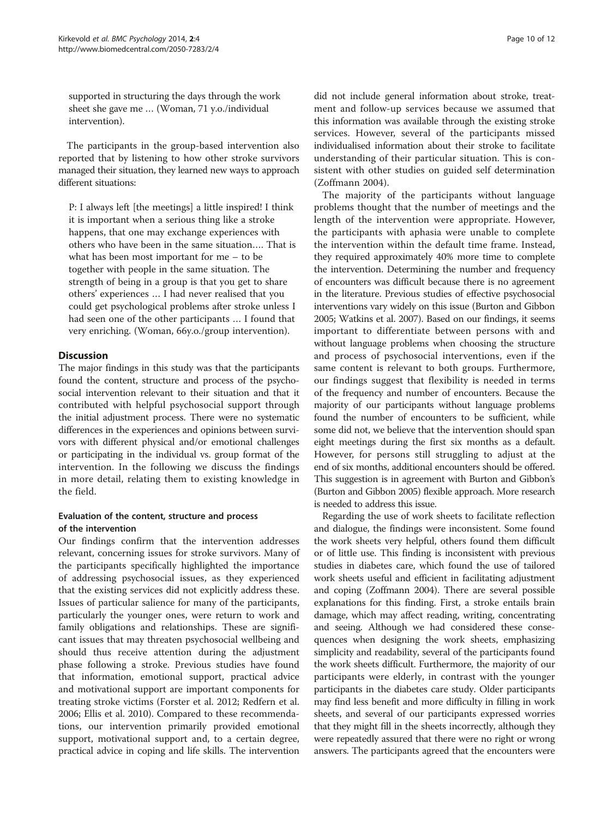supported in structuring the days through the work sheet she gave me … (Woman, 71 y.o./individual intervention).

The participants in the group-based intervention also reported that by listening to how other stroke survivors managed their situation, they learned new ways to approach different situations:

P: I always left [the meetings] a little inspired! I think it is important when a serious thing like a stroke happens, that one may exchange experiences with others who have been in the same situation…. That is what has been most important for me – to be together with people in the same situation. The strength of being in a group is that you get to share others' experiences … I had never realised that you could get psychological problems after stroke unless I had seen one of the other participants … I found that very enriching. (Woman, 66y.o./group intervention).

# **Discussion**

The major findings in this study was that the participants found the content, structure and process of the psychosocial intervention relevant to their situation and that it contributed with helpful psychosocial support through the initial adjustment process. There were no systematic differences in the experiences and opinions between survivors with different physical and/or emotional challenges or participating in the individual vs. group format of the intervention. In the following we discuss the findings in more detail, relating them to existing knowledge in the field.

# Evaluation of the content, structure and process of the intervention

Our findings confirm that the intervention addresses relevant, concerning issues for stroke survivors. Many of the participants specifically highlighted the importance of addressing psychosocial issues, as they experienced that the existing services did not explicitly address these. Issues of particular salience for many of the participants, particularly the younger ones, were return to work and family obligations and relationships. These are significant issues that may threaten psychosocial wellbeing and should thus receive attention during the adjustment phase following a stroke. Previous studies have found that information, emotional support, practical advice and motivational support are important components for treating stroke victims (Forster et al. [2012](#page-11-0); Redfern et al. [2006](#page-11-0); Ellis et al. [2010\)](#page-11-0). Compared to these recommendations, our intervention primarily provided emotional support, motivational support and, to a certain degree, practical advice in coping and life skills. The intervention did not include general information about stroke, treatment and follow-up services because we assumed that this information was available through the existing stroke services. However, several of the participants missed individualised information about their stroke to facilitate understanding of their particular situation. This is consistent with other studies on guided self determination (Zoffmann [2004](#page-11-0)).

The majority of the participants without language problems thought that the number of meetings and the length of the intervention were appropriate. However, the participants with aphasia were unable to complete the intervention within the default time frame. Instead, they required approximately 40% more time to complete the intervention. Determining the number and frequency of encounters was difficult because there is no agreement in the literature. Previous studies of effective psychosocial interventions vary widely on this issue (Burton and Gibbon [2005;](#page-11-0) Watkins et al. [2007\)](#page-11-0). Based on our findings, it seems important to differentiate between persons with and without language problems when choosing the structure and process of psychosocial interventions, even if the same content is relevant to both groups. Furthermore, our findings suggest that flexibility is needed in terms of the frequency and number of encounters. Because the majority of our participants without language problems found the number of encounters to be sufficient, while some did not, we believe that the intervention should span eight meetings during the first six months as a default. However, for persons still struggling to adjust at the end of six months, additional encounters should be offered. This suggestion is in agreement with Burton and Gibbon's (Burton and Gibbon [2005](#page-11-0)) flexible approach. More research is needed to address this issue.

Regarding the use of work sheets to facilitate reflection and dialogue, the findings were inconsistent. Some found the work sheets very helpful, others found them difficult or of little use. This finding is inconsistent with previous studies in diabetes care, which found the use of tailored work sheets useful and efficient in facilitating adjustment and coping (Zoffmann [2004](#page-11-0)). There are several possible explanations for this finding. First, a stroke entails brain damage, which may affect reading, writing, concentrating and seeing. Although we had considered these consequences when designing the work sheets, emphasizing simplicity and readability, several of the participants found the work sheets difficult. Furthermore, the majority of our participants were elderly, in contrast with the younger participants in the diabetes care study. Older participants may find less benefit and more difficulty in filling in work sheets, and several of our participants expressed worries that they might fill in the sheets incorrectly, although they were repeatedly assured that there were no right or wrong answers. The participants agreed that the encounters were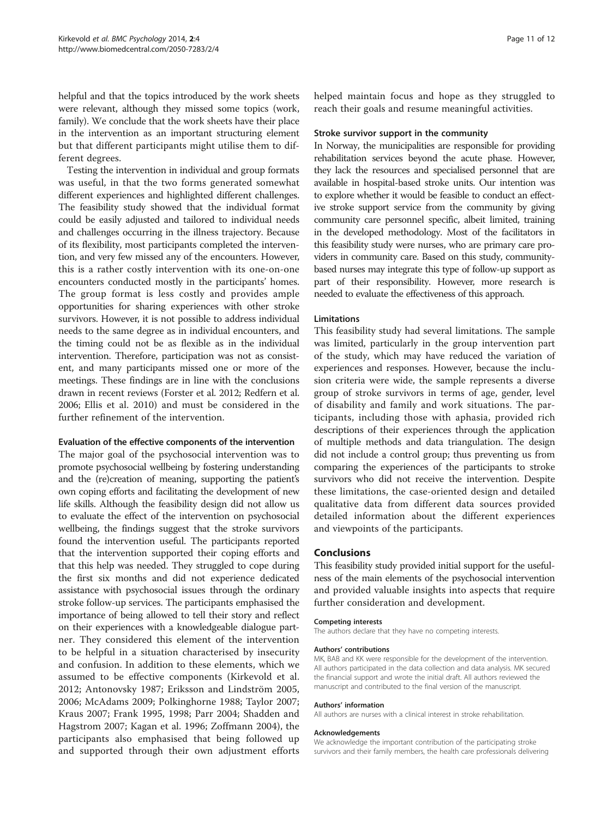helpful and that the topics introduced by the work sheets were relevant, although they missed some topics (work, family). We conclude that the work sheets have their place in the intervention as an important structuring element but that different participants might utilise them to different degrees.

Testing the intervention in individual and group formats was useful, in that the two forms generated somewhat different experiences and highlighted different challenges. The feasibility study showed that the individual format could be easily adjusted and tailored to individual needs and challenges occurring in the illness trajectory. Because of its flexibility, most participants completed the intervention, and very few missed any of the encounters. However, this is a rather costly intervention with its one-on-one encounters conducted mostly in the participants' homes. The group format is less costly and provides ample opportunities for sharing experiences with other stroke survivors. However, it is not possible to address individual needs to the same degree as in individual encounters, and the timing could not be as flexible as in the individual intervention. Therefore, participation was not as consistent, and many participants missed one or more of the meetings. These findings are in line with the conclusions drawn in recent reviews (Forster et al. [2012;](#page-11-0) Redfern et al. [2006;](#page-11-0) Ellis et al. [2010](#page-11-0)) and must be considered in the further refinement of the intervention.

## Evaluation of the effective components of the intervention

The major goal of the psychosocial intervention was to promote psychosocial wellbeing by fostering understanding and the (re)creation of meaning, supporting the patient's own coping efforts and facilitating the development of new life skills. Although the feasibility design did not allow us to evaluate the effect of the intervention on psychosocial wellbeing, the findings suggest that the stroke survivors found the intervention useful. The participants reported that the intervention supported their coping efforts and that this help was needed. They struggled to cope during the first six months and did not experience dedicated assistance with psychosocial issues through the ordinary stroke follow-up services. The participants emphasised the importance of being allowed to tell their story and reflect on their experiences with a knowledgeable dialogue partner. They considered this element of the intervention to be helpful in a situation characterised by insecurity and confusion. In addition to these elements, which we assumed to be effective components (Kirkevold et al. [2012;](#page-11-0) Antonovsky [1987](#page-11-0); Eriksson and Lindström [2005](#page-11-0), [2006;](#page-11-0) McAdams [2009](#page-11-0); Polkinghorne [1988](#page-11-0); Taylor [2007](#page-11-0); Kraus [2007](#page-11-0); Frank [1995, 1998](#page-11-0); Parr [2004](#page-11-0); Shadden and Hagstrom [2007](#page-11-0); Kagan et al. [1996](#page-11-0); Zoffmann [2004\)](#page-11-0), the participants also emphasised that being followed up and supported through their own adjustment efforts helped maintain focus and hope as they struggled to reach their goals and resume meaningful activities.

#### Stroke survivor support in the community

In Norway, the municipalities are responsible for providing rehabilitation services beyond the acute phase. However, they lack the resources and specialised personnel that are available in hospital-based stroke units. Our intention was to explore whether it would be feasible to conduct an effective stroke support service from the community by giving community care personnel specific, albeit limited, training in the developed methodology. Most of the facilitators in this feasibility study were nurses, who are primary care providers in community care. Based on this study, communitybased nurses may integrate this type of follow-up support as part of their responsibility. However, more research is needed to evaluate the effectiveness of this approach.

#### Limitations

This feasibility study had several limitations. The sample was limited, particularly in the group intervention part of the study, which may have reduced the variation of experiences and responses. However, because the inclusion criteria were wide, the sample represents a diverse group of stroke survivors in terms of age, gender, level of disability and family and work situations. The participants, including those with aphasia, provided rich descriptions of their experiences through the application of multiple methods and data triangulation. The design did not include a control group; thus preventing us from comparing the experiences of the participants to stroke survivors who did not receive the intervention. Despite these limitations, the case-oriented design and detailed qualitative data from different data sources provided detailed information about the different experiences and viewpoints of the participants.

#### **Conclusions**

This feasibility study provided initial support for the usefulness of the main elements of the psychosocial intervention and provided valuable insights into aspects that require further consideration and development.

#### Competing interests

The authors declare that they have no competing interests.

#### Authors' contributions

MK, BAB and KK were responsible for the development of the intervention. All authors participated in the data collection and data analysis. MK secured the financial support and wrote the initial draft. All authors reviewed the manuscript and contributed to the final version of the manuscript.

#### Authors' information

All authors are nurses with a clinical interest in stroke rehabilitation.

#### Acknowledgements

We acknowledge the important contribution of the participating stroke survivors and their family members, the health care professionals delivering